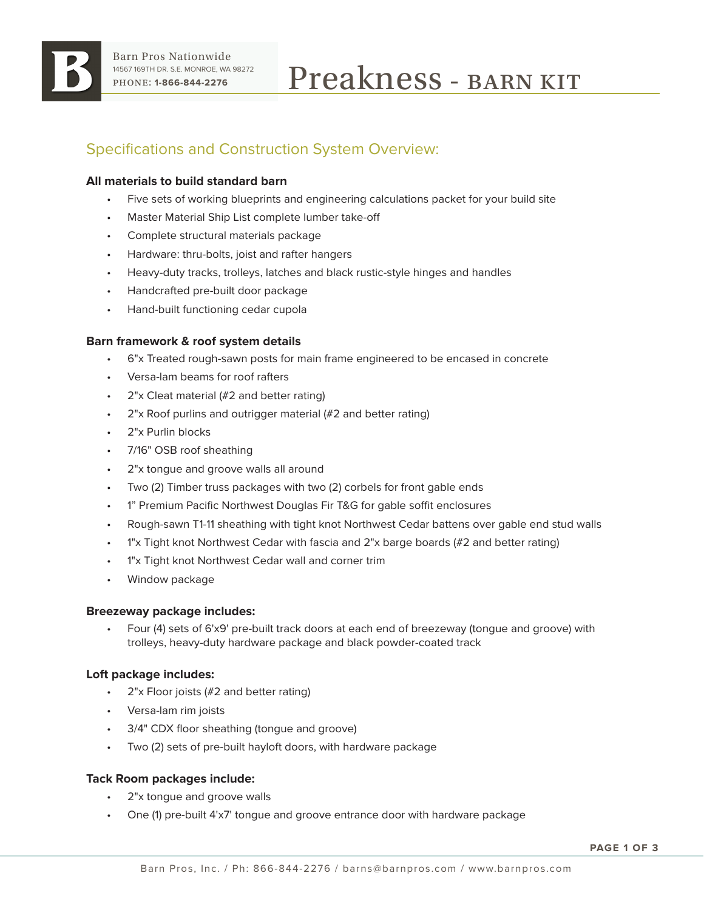

# Specifications and Construction System Overview:

## **All materials to build standard barn**

- Five sets of working blueprints and engineering calculations packet for your build site
- Master Material Ship List complete lumber take-off
- Complete structural materials package
- Hardware: thru-bolts, joist and rafter hangers
- Heavy-duty tracks, trolleys, latches and black rustic-style hinges and handles
- Handcrafted pre-built door package
- Hand-built functioning cedar cupola

## **Barn framework & roof system details**

- 6"x Treated rough-sawn posts for main frame engineered to be encased in concrete
- Versa-lam beams for roof rafters
- 2"x Cleat material (#2 and better rating)
- 2"x Roof purlins and outrigger material (#2 and better rating)
- 2"x Purlin blocks
- 7/16" OSB roof sheathing
- 2"x tongue and groove walls all around
- Two (2) Timber truss packages with two (2) corbels for front gable ends
- 1" Premium Pacific Northwest Douglas Fir T&G for gable soffit enclosures
- Rough-sawn T1-11 sheathing with tight knot Northwest Cedar battens over gable end stud walls
- 1"x Tight knot Northwest Cedar with fascia and 2"x barge boards (#2 and better rating)
- 1"x Tight knot Northwest Cedar wall and corner trim
- Window package

#### **Breezeway package includes:**

• Four (4) sets of 6'x9' pre-built track doors at each end of breezeway (tongue and groove) with trolleys, heavy-duty hardware package and black powder-coated track

# **Loft package includes:**

- 2"x Floor joists (#2 and better rating)
- Versa-lam rim joists
- 3/4" CDX floor sheathing (tongue and groove)
- Two (2) sets of pre-built hayloft doors, with hardware package

#### **Tack Room packages include:**

- 2"x tongue and groove walls
- One (1) pre-built 4'x7' tongue and groove entrance door with hardware package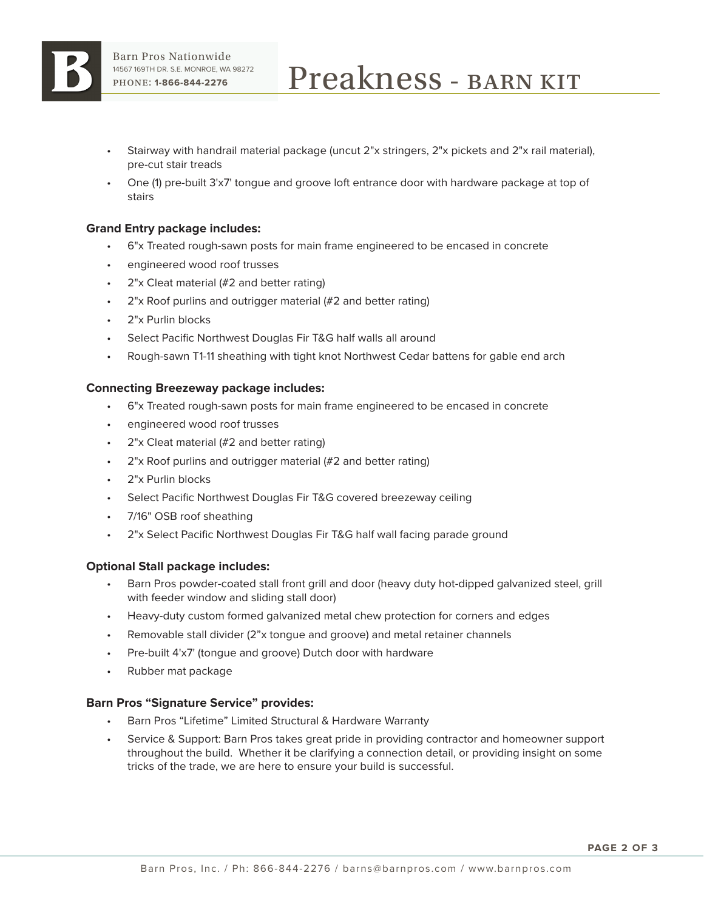

- Stairway with handrail material package (uncut 2"x stringers, 2"x pickets and 2"x rail material), pre-cut stair treads
- One (1) pre-built 3'x7' tongue and groove loft entrance door with hardware package at top of stairs

## **Grand Entry package includes:**

- 6"x Treated rough-sawn posts for main frame engineered to be encased in concrete
- engineered wood roof trusses
- 2"x Cleat material (#2 and better rating)
- 2"x Roof purlins and outrigger material (#2 and better rating)
- 2"x Purlin blocks
- Select Pacific Northwest Douglas Fir T&G half walls all around
- Rough-sawn T1-11 sheathing with tight knot Northwest Cedar battens for gable end arch

## **Connecting Breezeway package includes:**

- 6"x Treated rough-sawn posts for main frame engineered to be encased in concrete
- engineered wood roof trusses
- 2"x Cleat material (#2 and better rating)
- 2"x Roof purlins and outrigger material (#2 and better rating)
- 2"x Purlin blocks
- Select Pacific Northwest Douglas Fir T&G covered breezeway ceiling
- 7/16" OSB roof sheathing
- 2"x Select Pacific Northwest Douglas Fir T&G half wall facing parade ground

# **Optional Stall package includes:**

- Barn Pros powder-coated stall front grill and door (heavy duty hot-dipped galvanized steel, grill with feeder window and sliding stall door)
- Heavy-duty custom formed galvanized metal chew protection for corners and edges
- Removable stall divider (2"x tongue and groove) and metal retainer channels
- Pre-built 4'x7' (tonque and groove) Dutch door with hardware
- Rubber mat package

#### **Barn Pros "Signature Service" provides:**

- Barn Pros "Lifetime" Limited Structural & Hardware Warranty
- Service & Support: Barn Pros takes great pride in providing contractor and homeowner support throughout the build. Whether it be clarifying a connection detail, or providing insight on some tricks of the trade, we are here to ensure your build is successful.